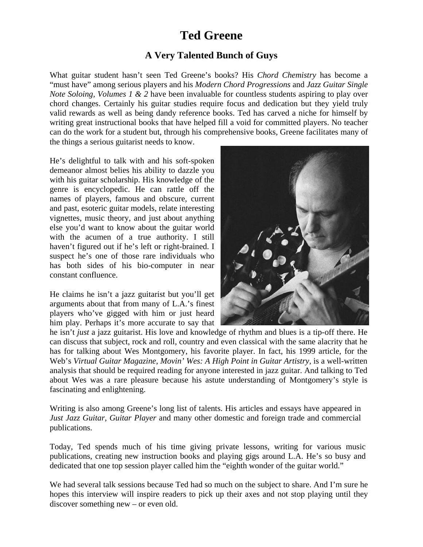# **Ted Greene**

# **A Very Talented Bunch of Guys**

What guitar student hasn't seen Ted Greene's books? His *Chord Chemistry* has become a "must have" among serious players and his *Modern Chord Progressions* and *Jazz Guitar Single Note Soloing, Volumes 1 & 2 have been invaluable for countless students aspiring to play over* chord changes. Certainly his guitar studies require focus and dedication but they yield truly valid rewards as well as being dandy reference books. Ted has carved a niche for himself by writing great instructional books that have helped fill a void for committed players. No teacher can do the work for a student but, through his comprehensive books, Greene facilitates many of the things a serious guitarist needs to know.

He's delightful to talk with and his soft-spoken demeanor almost belies his ability to dazzle you with his guitar scholarship. His knowledge of the genre is encyclopedic. He can rattle off the names of players, famous and obscure, current and past, esoteric guitar models, relate interesting vignettes, music theory, and just about anything else you'd want to know about the guitar world with the acumen of a true authority. I still haven't figured out if he's left or right-brained. I suspect he's one of those rare individuals who has both sides of his bio-computer in near constant confluence.

He claims he isn't a jazz guitarist but you'll get arguments about that from many of L.A.'s finest players who've gigged with him or just heard him play. Perhaps it's more accurate to say that



he isn't *just* a jazz guitarist. His love and knowledge of rhythm and blues is a tip-off there. He can discuss that subject, rock and roll, country and even classical with the same alacrity that he has for talking about Wes Montgomery, his favorite player. In fact, his 1999 article, for the Web's *Virtual Guitar Magazine*, *Movin' Wes: A High Point in Guitar Artistry,* is a well-written analysis that should be required reading for anyone interested in jazz guitar. And talking to Ted about Wes was a rare pleasure because his astute understanding of Montgomery's style is fascinating and enlightening.

Writing is also among Greene's long list of talents. His articles and essays have appeared in *Just Jazz Guitar*, *Guitar Player* and many other domestic and foreign trade and commercial publications.

Today, Ted spends much of his time giving private lessons, writing for various music publications, creating new instruction books and playing gigs around L.A. He's so busy and dedicated that one top session player called him the "eighth wonder of the guitar world."

We had several talk sessions because Ted had so much on the subject to share. And I'm sure he hopes this interview will inspire readers to pick up their axes and not stop playing until they discover something new – or even old.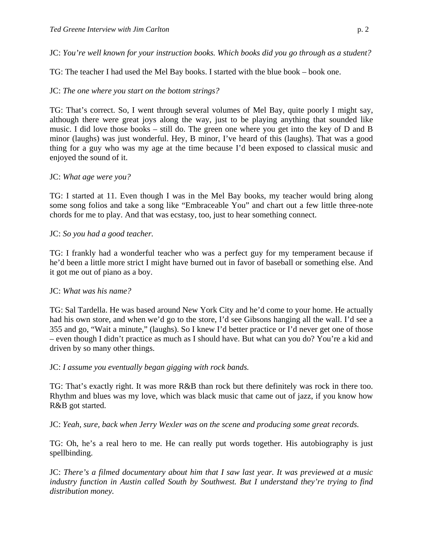JC: *You're well known for your instruction books. Which books did you go through as a student?*

TG: The teacher I had used the Mel Bay books. I started with the blue book – book one.

# JC: *The one where you start on the bottom strings?*

TG: That's correct. So, I went through several volumes of Mel Bay, quite poorly I might say, although there were great joys along the way, just to be playing anything that sounded like music. I did love those books – still do. The green one where you get into the key of D and B minor (laughs) was just wonderful. Hey, B minor, I've heard of this (laughs). That was a good thing for a guy who was my age at the time because I'd been exposed to classical music and enjoyed the sound of it.

# JC: *What age were you?*

TG: I started at 11. Even though I was in the Mel Bay books, my teacher would bring along some song folios and take a song like "Embraceable You" and chart out a few little three-note chords for me to play. And that was ecstasy, too, just to hear something connect.

## JC: *So you had a good teacher.*

TG: I frankly had a wonderful teacher who was a perfect guy for my temperament because if he'd been a little more strict I might have burned out in favor of baseball or something else. And it got me out of piano as a boy.

#### JC: *What was his name?*

TG: Sal Tardella. He was based around New York City and he'd come to your home. He actually had his own store, and when we'd go to the store, I'd see Gibsons hanging all the wall. I'd see a 355 and go, "Wait a minute," (laughs). So I knew I'd better practice or I'd never get one of those – even though I didn't practice as much as I should have. But what can you do? You're a kid and driven by so many other things.

#### JC: *I assume you eventually began gigging with rock bands.*

TG: That's exactly right. It was more R&B than rock but there definitely was rock in there too. Rhythm and blues was my love, which was black music that came out of jazz, if you know how R&B got started.

JC: *Yeah, sure, back when Jerry Wexler was on the scene and producing some great records.*

TG: Oh, he's a real hero to me. He can really put words together. His autobiography is just spellbinding.

JC: *There's a filmed documentary about him that I saw last year. It was previewed at a music industry function in Austin called South by Southwest. But I understand they're trying to find distribution money.*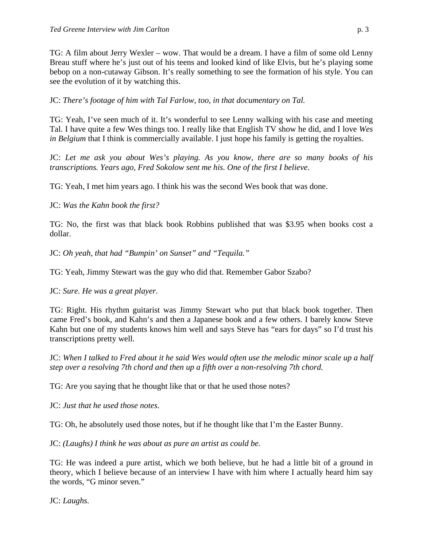TG: A film about Jerry Wexler – wow. That would be a dream. I have a film of some old Lenny Breau stuff where he's just out of his teens and looked kind of like Elvis, but he's playing some bebop on a non-cutaway Gibson. It's really something to see the formation of his style. You can see the evolution of it by watching this.

JC: *There's footage of him with Tal Farlow, too, in that documentary on Tal.*

TG: Yeah, I've seen much of it. It's wonderful to see Lenny walking with his case and meeting Tal. I have quite a few Wes things too. I really like that English TV show he did, and I love *Wes in Belgium* that I think is commercially available. I just hope his family is getting the royalties.

JC: *Let me ask you about Wes's playing. As you know, there are so many books of his transcriptions. Years ago, Fred Sokolow sent me his. One of the first I believe.*

TG: Yeah, I met him years ago. I think his was the second Wes book that was done.

JC: *Was the Kahn book the first?*

TG: No, the first was that black book Robbins published that was \$3.95 when books cost a dollar.

JC: *Oh yeah, that had "Bumpin' on Sunset" and "Tequila."*

TG: Yeah, Jimmy Stewart was the guy who did that. Remember Gabor Szabo?

JC: *Sure. He was a great player.*

TG: Right. His rhythm guitarist was Jimmy Stewart who put that black book together. Then came Fred's book, and Kahn's and then a Japanese book and a few others. I barely know Steve Kahn but one of my students knows him well and says Steve has "ears for days" so I'd trust his transcriptions pretty well.

JC: *When I talked to Fred about it he said Wes would often use the melodic minor scale up a half step over a resolving 7th chord and then up a fifth over a non-resolving 7th chord.*

TG: Are you saying that he thought like that or that he used those notes?

JC: *Just that he used those notes*.

TG: Oh, he absolutely used those notes, but if he thought like that I'm the Easter Bunny.

JC: *(Laughs) I think he was about as pure an artist as could be.*

TG: He was indeed a pure artist, which we both believe, but he had a little bit of a ground in theory, which I believe because of an interview I have with him where I actually heard him say the words, "G minor seven."

JC: *Laughs.*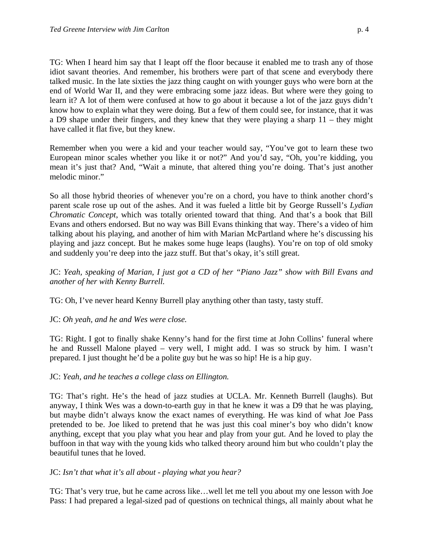TG: When I heard him say that I leapt off the floor because it enabled me to trash any of those idiot savant theories. And remember, his brothers were part of that scene and everybody there talked music. In the late sixties the jazz thing caught on with younger guys who were born at the end of World War II, and they were embracing some jazz ideas. But where were they going to learn it? A lot of them were confused at how to go about it because a lot of the jazz guys didn't know how to explain what they were doing. But a few of them could see, for instance, that it was a D9 shape under their fingers, and they knew that they were playing a sharp 11 – they might have called it flat five, but they knew.

Remember when you were a kid and your teacher would say, "You've got to learn these two European minor scales whether you like it or not?" And you'd say, "Oh, you're kidding, you mean it's just that? And, "Wait a minute, that altered thing you're doing. That's just another melodic minor."

So all those hybrid theories of whenever you're on a chord, you have to think another chord's parent scale rose up out of the ashes. And it was fueled a little bit by George Russell's *Lydian Chromatic Concept*, which was totally oriented toward that thing. And that's a book that Bill Evans and others endorsed. But no way was Bill Evans thinking that way. There's a video of him talking about his playing, and another of him with Marian McPartland where he's discussing his playing and jazz concept. But he makes some huge leaps (laughs). You're on top of old smoky and suddenly you're deep into the jazz stuff. But that's okay, it's still great.

JC: *Yeah, speaking of Marian, I just got a CD of her "Piano Jazz" show with Bill Evans and another of her with Kenny Burrell.*

TG: Oh, I've never heard Kenny Burrell play anything other than tasty, tasty stuff.

JC: *Oh yeah, and he and Wes were close.*

TG: Right. I got to finally shake Kenny's hand for the first time at John Collins' funeral where he and Russell Malone played – very well, I might add. I was so struck by him. I wasn't prepared. I just thought he'd be a polite guy but he was so hip! He is a hip guy.

# JC: *Yeah, and he teaches a college class on Ellington.*

TG: That's right. He's the head of jazz studies at UCLA. Mr. Kenneth Burrell (laughs). But anyway, I think Wes was a down-to-earth guy in that he knew it was a D9 that he was playing, but maybe didn't always know the exact names of everything. He was kind of what Joe Pass pretended to be. Joe liked to pretend that he was just this coal miner's boy who didn't know anything, except that you play what you hear and play from your gut. And he loved to play the buffoon in that way with the young kids who talked theory around him but who couldn't play the beautiful tunes that he loved.

# JC: *Isn't that what it's all about - playing what you hear?*

TG: That's very true, but he came across like…well let me tell you about my one lesson with Joe Pass: I had prepared a legal-sized pad of questions on technical things, all mainly about what he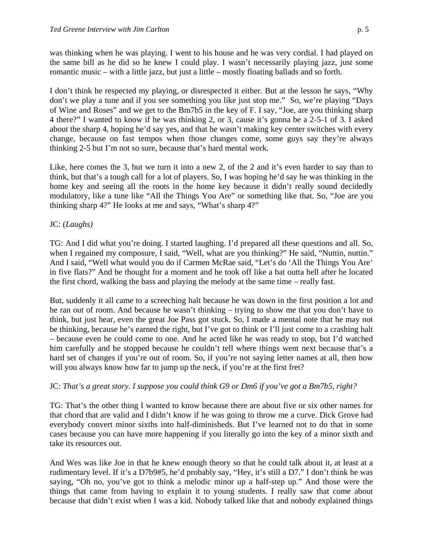was thinking when he was playing. I went to his house and he was very cordial. I had played on the same bill as he did so he knew I could play. I wasn't necessarily playing jazz, just some romantic music – with a little jazz, but just a little – mostly floating ballads and so forth.

I don't think he respected my playing, or disrespected it either. But at the lesson he says, "Why don't we play a tune and if you see something you like just stop me." So, we're playing "Days of Wine and Roses" and we get to the Bm7b5 in the key of F. I say, "Joe, are you thinking sharp 4 there?" I wanted to know if he was thinking 2, or 3, cause it's gonna be a 2-5-1 of 3. I asked about the sharp 4, hoping he'd say yes, and that he wasn't making key center switches with every change, because on fast tempos when those changes come, some guys say they're always thinking 2-5 but I'm not so sure, because that's hard mental work.

Like, here comes the 3, but we turn it into a new 2, of the 2 and it's even harder to say than to think, but that's a tough call for a lot of players. So, I was hoping he'd say he was thinking in the home key and seeing all the roots in the home key because it didn't really sound decidedly modulatory, like a tune like "All the Things You Are" or something like that. So, "Joe are you thinking sharp 4?" He looks at me and says, "What's sharp 4?"

# JC: (*Laughs)*

TG: And I did what you're doing. I started laughing. I'd prepared all these questions and all. So, when I regained my composure, I said, "Well, what are you thinking?" He said, "Nuttin, nuttin." And I said, "Well what would you do if Carmen McRae said, "Let's do 'All the Things You Are' in five flats?" And he thought for a moment and he took off like a bat outta hell after he located the first chord, walking the bass and playing the melody at the same time – really fast.

But, suddenly it all came to a screeching halt because he was down in the first position a lot and he ran out of room. And because he wasn't thinking – trying to show me that you don't have to think, but just hear, even the great Joe Pass got stuck. So, I made a mental note that he may not be thinking, because he's earned the right, but I've got to think or I'll just come to a crashing halt – because even he could come to one. And he acted like he was ready to stop, but I'd watched him carefully and he stopped because he couldn't tell where things went next because that's a hard set of changes if you're out of room. So, if you're not saying letter names at all, then how will you always know how far to jump up the neck, if you're at the first fret?

# JC: *That's a great story. I suppose you could think G9 or Dm6 if you've got a Bm7b5, right?*

TG: That's the other thing I wanted to know because there are about five or six other names for that chord that are valid and I didn't know if he was going to throw me a curve. Dick Grove had everybody convert minor sixths into half-diminisheds. But I've learned not to do that in some cases because you can have more happening if you literally go into the key of a minor sixth and take its resources out.

And Wes was like Joe in that he knew enough theory so that he could talk about it, at least at a rudimentary level. If it's a D7b9#5, he'd probably say, "Hey, it's still a D7." I don't think he was saying, "Oh no, you've got to think a melodic minor up a half-step up." And those were the things that came from having to explain it to young students. I really saw that come about because that didn't exist when I was a kid. Nobody talked like that and nobody explained things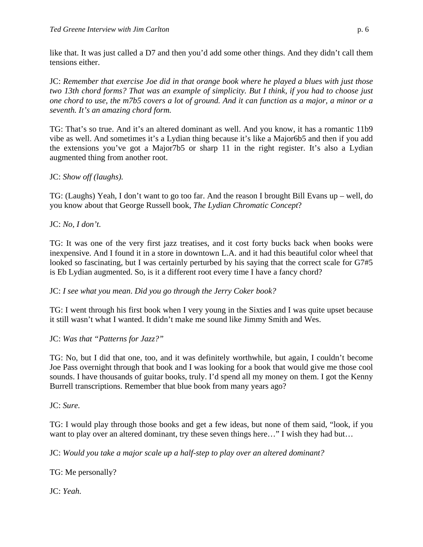like that. It was just called a D7 and then you'd add some other things. And they didn't call them tensions either.

JC: *Remember that exercise Joe did in that orange book where he played a blues with just those two 13th chord forms? That was an example of simplicity. But I think, if you had to choose just one chord to use, the m7b5 covers a lot of ground. And it can function as a major, a minor or a seventh. It's an amazing chord form.*

TG: That's so true. And it's an altered dominant as well. And you know, it has a romantic 11b9 vibe as well. And sometimes it's a Lydian thing because it's like a Major6b5 and then if you add the extensions you've got a Major7b5 or sharp 11 in the right register. It's also a Lydian augmented thing from another root.

# JC: *Show off (laughs).*

TG: (Laughs) Yeah, I don't want to go too far. And the reason I brought Bill Evans up – well, do you know about that George Russell book, *The Lydian Chromatic Concept*?

JC: *No, I don't.*

TG: It was one of the very first jazz treatises, and it cost forty bucks back when books were inexpensive. And I found it in a store in downtown L.A. and it had this beautiful color wheel that looked so fascinating, but I was certainly perturbed by his saying that the correct scale for G7#5 is Eb Lydian augmented. So, is it a different root every time I have a fancy chord?

JC: *I see what you mean*. *Did you go through the Jerry Coker book?*

TG: I went through his first book when I very young in the Sixties and I was quite upset because it still wasn't what I wanted. It didn't make me sound like Jimmy Smith and Wes.

JC: *Was that "Patterns for Jazz?"*

TG: No, but I did that one, too, and it was definitely worthwhile, but again, I couldn't become Joe Pass overnight through that book and I was looking for a book that would give me those cool sounds. I have thousands of guitar books, truly. I'd spend all my money on them. I got the Kenny Burrell transcriptions. Remember that blue book from many years ago?

JC: *Sure.*

TG: I would play through those books and get a few ideas, but none of them said, "look, if you want to play over an altered dominant, try these seven things here…" I wish they had but...

JC: *Would you take a major scale up a half-step to play over an altered dominant?*

TG: Me personally?

JC: *Yeah.*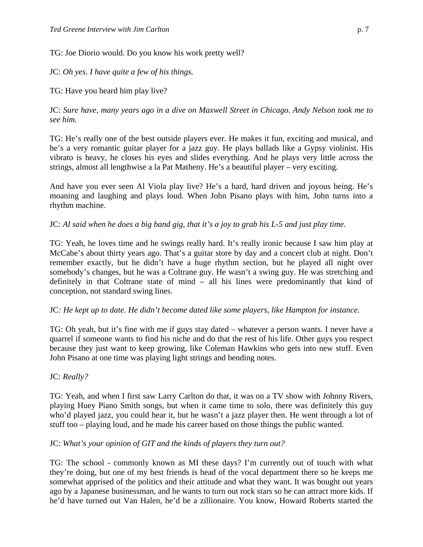TG: Joe Diorio would. Do you know his work pretty well?

JC: *Oh yes. I have quite a few of his things.*

TG: Have you heard him play live?

JC: *Sure have, many years ago in a dive on Maxwell Street in Chicago. Andy Nelson took me to see him.*

TG: He's really one of the best outside players ever. He makes it fun, exciting and musical, and he's a very romantic guitar player for a jazz guy. He plays ballads like a Gypsy violinist. His vibrato is heavy, he closes his eyes and slides everything. And he plays very little across the strings, almost all lengthwise a la Pat Matheny. He's a beautiful player – very exciting.

And have you ever seen Al Viola play live? He's a hard, hard driven and joyous being. He's moaning and laughing and plays loud. When John Pisano plays with him, John turns into a rhythm machine.

# JC: *Al said when he does a big band gig, that it's a joy to grab his L-5 and just play time.*

TG: Yeah, he loves time and he swings really hard. It's really ironic because I saw him play at McCabe's about thirty years ago. That's a guitar store by day and a concert club at night. Don't remember exactly, but he didn't have a huge rhythm section, but he played all night over somebody's changes, but he was a Coltrane guy. He wasn't a swing guy. He was stretching and definitely in that Coltrane state of mind – all his lines were predominantly that kind of conception, not standard swing lines.

# JC*: He kept up to date. He didn't become dated like some players, like Hampton for instance.*

TG: Oh yeah, but it's fine with me if guys stay dated – whatever a person wants. I never have a quarrel if someone wants to find his niche and do that the rest of his life. Other guys you respect because they just want to keep growing, like Coleman Hawkins who gets into new stuff. Even John Pisano at one time was playing light strings and bending notes.

# JC: *Really?*

TG: Yeah, and when I first saw Larry Carlton do that, it was on a TV show with Johnny Rivers, playing Huey Piano Smith songs, but when it came time to solo, there was definitely this guy who'd played jazz, you could hear it, but he wasn't a jazz player then. He went through a lot of stuff too – playing loud, and he made his career based on those things the public wanted.

# JC: *What's your opinion of GIT and the kinds of players they turn out?*

TG: The school - commonly known as MI these days? I'm currently out of touch with what they're doing, but one of my best friends is head of the vocal department there so he keeps me somewhat apprised of the politics and their attitude and what they want. It was bought out years ago by a Japanese businessman, and he wants to turn out rock stars so he can attract more kids. If he'd have turned out Van Halen, he'd be a zillionaire. You know, Howard Roberts started the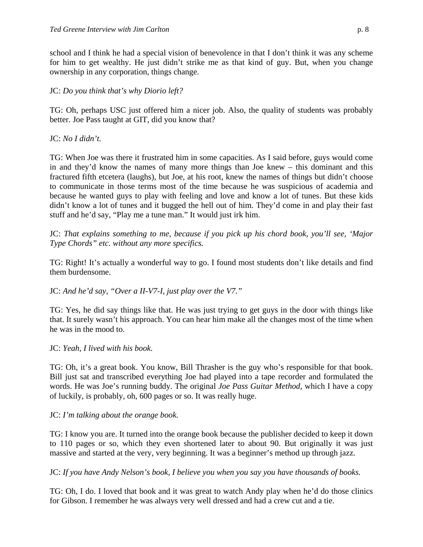school and I think he had a special vision of benevolence in that I don't think it was any scheme for him to get wealthy. He just didn't strike me as that kind of guy. But, when you change ownership in any corporation, things change.

# JC: *Do you think that's why Diorio left?*

TG: Oh, perhaps USC just offered him a nicer job. Also, the quality of students was probably better. Joe Pass taught at GIT, did you know that?

JC: *No I didn't.*

TG: When Joe was there it frustrated him in some capacities. As I said before, guys would come in and they'd know the names of many more things than Joe knew – this dominant and this fractured fifth etcetera (laughs), but Joe, at his root, knew the names of things but didn't choose to communicate in those terms most of the time because he was suspicious of academia and because he wanted guys to play with feeling and love and know a lot of tunes. But these kids didn't know a lot of tunes and it bugged the hell out of him. They'd come in and play their fast stuff and he'd say, "Play me a tune man." It would just irk him.

JC: *That explains something to me, because if you pick up his chord book, you'll see, 'Major Type Chords" etc. without any more specifics.*

TG: Right! It's actually a wonderful way to go. I found most students don't like details and find them burdensome.

JC: *And he'd say, "Over a II-V7-I, just play over the V7."*

TG: Yes, he did say things like that. He was just trying to get guys in the door with things like that. It surely wasn't his approach. You can hear him make all the changes most of the time when he was in the mood to.

JC: *Yeah, I lived with his book.*

TG: Oh, it's a great book. You know, Bill Thrasher is the guy who's responsible for that book. Bill just sat and transcribed everything Joe had played into a tape recorder and formulated the words. He was Joe's running buddy. The original *Joe Pass Guitar Method*, which I have a copy of luckily, is probably, oh, 600 pages or so. It was really huge.

JC: *I'm talking about the orange book.*

TG: I know you are. It turned into the orange book because the publisher decided to keep it down to 110 pages or so, which they even shortened later to about 90. But originally it was just massive and started at the very, very beginning. It was a beginner's method up through jazz.

JC: *If you have Andy Nelson's book, I believe you when you say you have thousands of books.*

TG: Oh, I do. I loved that book and it was great to watch Andy play when he'd do those clinics for Gibson. I remember he was always very well dressed and had a crew cut and a tie.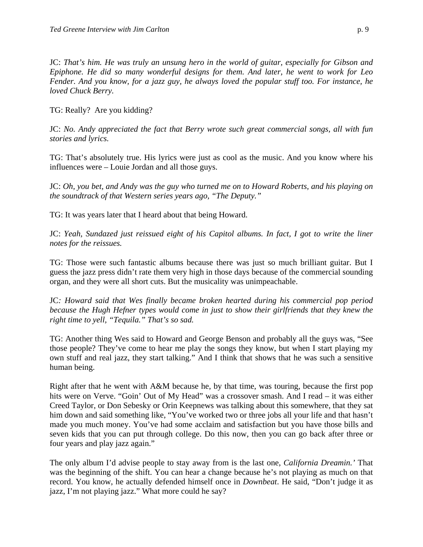JC: *That's him. He was truly an unsung hero in the world of guitar, especially for Gibson and Epiphone. He did so many wonderful designs for them. And later, he went to work for Leo Fender. And you know, for a jazz guy, he always loved the popular stuff too. For instance, he loved Chuck Berry.*

TG: Really? Are you kidding?

JC: *No. Andy appreciated the fact that Berry wrote such great commercial songs, all with fun stories and lyrics.*

TG: That's absolutely true. His lyrics were just as cool as the music. And you know where his influences were – Louie Jordan and all those guys.

JC: *Oh, you bet, and Andy was the guy who turned me on to Howard Roberts, and his playing on the soundtrack of that Western series years ago, "The Deputy."*

TG: It was years later that I heard about that being Howard.

JC: Yeah, Sundazed just reissued eight of his Capitol albums. In fact, I got to write the liner *notes for the reissues.*

TG: Those were such fantastic albums because there was just so much brilliant guitar. But I guess the jazz press didn't rate them very high in those days because of the commercial sounding organ, and they were all short cuts. But the musicality was unimpeachable.

JC*: Howard said that Wes finally became broken hearted during his commercial pop period because the Hugh Hefner types would come in just to show their girlfriends that they knew the right time to yell, "Tequila." That's so sad.*

TG: Another thing Wes said to Howard and George Benson and probably all the guys was, "See those people? They've come to hear me play the songs they know, but when I start playing my own stuff and real jazz, they start talking." And I think that shows that he was such a sensitive human being.

Right after that he went with A&M because he, by that time, was touring, because the first pop hits were on Verve. "Goin' Out of My Head" was a crossover smash. And I read – it was either Creed Taylor, or Don Sebesky or Orin Keepnews was talking about this somewhere, that they sat him down and said something like, "You've worked two or three jobs all your life and that hasn't made you much money. You've had some acclaim and satisfaction but you have those bills and seven kids that you can put through college. Do this now, then you can go back after three or four years and play jazz again."

The only album I'd advise people to stay away from is the last one, *California Dreamin.'* That was the beginning of the shift. You can hear a change because he's not playing as much on that record. You know, he actually defended himself once in *Downbeat*. He said, "Don't judge it as jazz, I'm not playing jazz." What more could he say?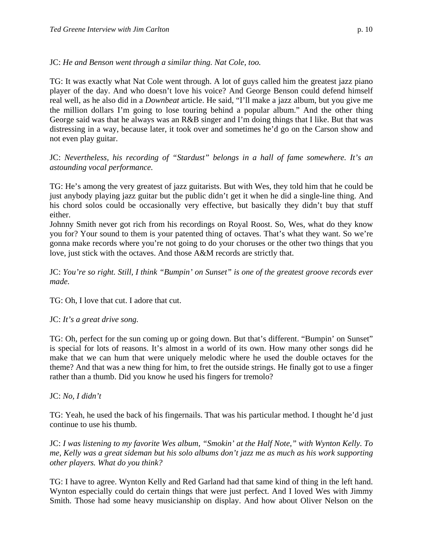## JC: *He and Benson went through a similar thing. Nat Cole, too.*

TG: It was exactly what Nat Cole went through. A lot of guys called him the greatest jazz piano player of the day. And who doesn't love his voice? And George Benson could defend himself real well, as he also did in a *Downbeat* article. He said, "I'll make a jazz album, but you give me the million dollars I'm going to lose touring behind a popular album." And the other thing George said was that he always was an R&B singer and I'm doing things that I like. But that was distressing in a way, because later, it took over and sometimes he'd go on the Carson show and not even play guitar.

JC: *Nevertheless, his recording of "Stardust" belongs in a hall of fame somewhere. It's an astounding vocal performance.*

TG: He's among the very greatest of jazz guitarists. But with Wes, they told him that he could be just anybody playing jazz guitar but the public didn't get it when he did a single-line thing. And his chord solos could be occasionally very effective, but basically they didn't buy that stuff either.

Johnny Smith never got rich from his recordings on Royal Roost. So, Wes, what do they know you for? Your sound to them is your patented thing of octaves. That's what they want. So we're gonna make records where you're not going to do your choruses or the other two things that you love, just stick with the octaves. And those A&M records are strictly that.

JC: *You're so right. Still, I think "Bumpin' on Sunset" is one of the greatest groove records ever made.*

TG: Oh, I love that cut. I adore that cut.

JC: *It's a great drive song.*

TG: Oh, perfect for the sun coming up or going down. But that's different. "Bumpin' on Sunset" is special for lots of reasons. It's almost in a world of its own. How many other songs did he make that we can hum that were uniquely melodic where he used the double octaves for the theme? And that was a new thing for him, to fret the outside strings. He finally got to use a finger rather than a thumb. Did you know he used his fingers for tremolo?

JC: *No, I didn't*

TG: Yeah, he used the back of his fingernails. That was his particular method. I thought he'd just continue to use his thumb.

JC: *I was listening to my favorite Wes album, "Smokin' at the Half Note," with Wynton Kelly. To me, Kelly was a great sideman but his solo albums don't jazz me as much as his work supporting other players. What do you think?*

TG: I have to agree. Wynton Kelly and Red Garland had that same kind of thing in the left hand. Wynton especially could do certain things that were just perfect. And I loved Wes with Jimmy Smith. Those had some heavy musicianship on display. And how about Oliver Nelson on the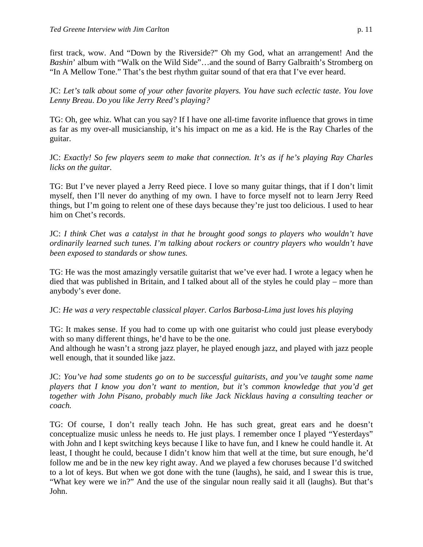first track, wow. And "Down by the Riverside?" Oh my God, what an arrangement! And the *Bashin*' album with "Walk on the Wild Side"…and the sound of Barry Galbraith's Stromberg on "In A Mellow Tone." That's the best rhythm guitar sound of that era that I've ever heard.

JC: *Let's talk about some of your other favorite players. You have such eclectic taste*. *You love Lenny Breau*. *Do you like Jerry Reed's playing?*

TG: Oh, gee whiz. What can you say? If I have one all-time favorite influence that grows in time as far as my over-all musicianship, it's his impact on me as a kid. He is the Ray Charles of the guitar.

JC: *Exactly! So few players seem to make that connection. It's as if he's playing Ray Charles licks on the guitar.*

TG: But I've never played a Jerry Reed piece. I love so many guitar things, that if I don't limit myself, then I'll never do anything of my own. I have to force myself not to learn Jerry Reed things, but I'm going to relent one of these days because they're just too delicious. I used to hear him on Chet's records.

JC: *I think Chet was a catalyst in that he brought good songs to players who wouldn't have ordinarily learned such tunes. I'm talking about rockers or country players who wouldn't have been exposed to standards or show tunes.*

TG: He was the most amazingly versatile guitarist that we've ever had. I wrote a legacy when he died that was published in Britain, and I talked about all of the styles he could play – more than anybody's ever done.

JC: *He was a very respectable classical player. Carlos Barbosa-Lima just loves his playing*

TG: It makes sense. If you had to come up with one guitarist who could just please everybody with so many different things, he'd have to be the one.

And although he wasn't a strong jazz player, he played enough jazz, and played with jazz people well enough, that it sounded like jazz.

JC: *You've had some students go on to be successful guitarists, and you've taught some name players that I know you don't want to mention, but it's common knowledge that you'd get together with John Pisano, probably much like Jack Nicklaus having a consulting teacher or coach.*

TG: Of course, I don't really teach John. He has such great, great ears and he doesn't conceptualize music unless he needs to. He just plays. I remember once I played "Yesterdays" with John and I kept switching keys because I like to have fun, and I knew he could handle it. At least, I thought he could, because I didn't know him that well at the time, but sure enough, he'd follow me and be in the new key right away. And we played a few choruses because I'd switched to a lot of keys. But when we got done with the tune (laughs), he said, and I swear this is true, "What key were we in?" And the use of the singular noun really said it all (laughs). But that's John.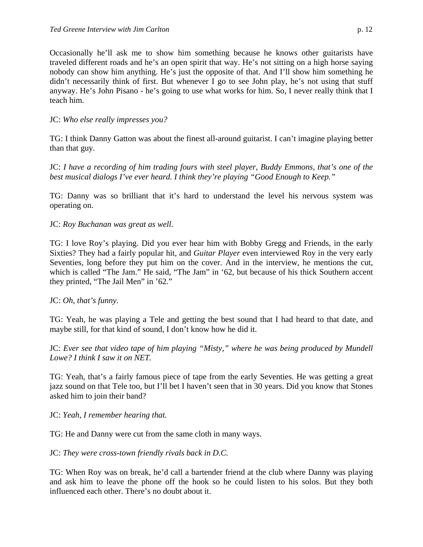# JC: *Who else really impresses you?*

TG: I think Danny Gatton was about the finest all-around guitarist. I can't imagine playing better than that guy.

JC: *I have a recording of him trading fours with steel player, Buddy Emmons, that's one of the best musical dialogs I've ever heard. I think they're playing "Good Enough to Keep."*

TG: Danny was so brilliant that it's hard to understand the level his nervous system was operating on.

# JC: *Roy Buchanan was great as well.*

TG: I love Roy's playing. Did you ever hear him with Bobby Gregg and Friends, in the early Sixties? They had a fairly popular hit, and *Guitar Player* even interviewed Roy in the very early Seventies, long before they put him on the cover. And in the interview, he mentions the cut, which is called "The Jam." He said, "The Jam" in '62, but because of his thick Southern accent they printed, "The Jail Men" in '62."

# JC: *Oh, that's funny.*

TG: Yeah, he was playing a Tele and getting the best sound that I had heard to that date, and maybe still, for that kind of sound, I don't know how he did it.

JC: *Ever see that video tape of him playing "Misty," where he was being produced by Mundell Lowe? I think I saw it on NET.*

TG: Yeah, that's a fairly famous piece of tape from the early Seventies. He was getting a great jazz sound on that Tele too, but I'll bet I haven't seen that in 30 years. Did you know that Stones asked him to join their band?

JC: *Yeah, I remember hearing that.*

TG: He and Danny were cut from the same cloth in many ways.

JC: *They were cross-town friendly rivals back in D.C.*

TG: When Roy was on break, he'd call a bartender friend at the club where Danny was playing and ask him to leave the phone off the hook so he could listen to his solos. But they both influenced each other. There's no doubt about it.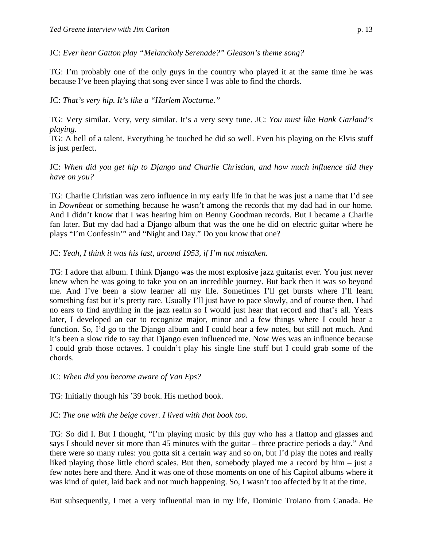JC: *Ever hear Gatton play "Melancholy Serenade?" Gleason's theme song?*

TG: I'm probably one of the only guys in the country who played it at the same time he was because I've been playing that song ever since I was able to find the chords.

## JC: *That's very hip. It's like a "Harlem Nocturne."*

TG: Very similar. Very, very similar. It's a very sexy tune. JC: *You must like Hank Garland's playing.*

TG: A hell of a talent. Everything he touched he did so well. Even his playing on the Elvis stuff is just perfect.

JC: *When did you get hip to Django and Charlie Christian, and how much influence did they have on you?*

TG: Charlie Christian was zero influence in my early life in that he was just a name that I'd see in *Downbeat* or something because he wasn't among the records that my dad had in our home. And I didn't know that I was hearing him on Benny Goodman records. But I became a Charlie fan later. But my dad had a Django album that was the one he did on electric guitar where he plays "I'm Confessin'" and "Night and Day." Do you know that one?

#### JC: *Yeah, I think it was his last, around 1953, if I'm not mistaken.*

TG: I adore that album. I think Django was the most explosive jazz guitarist ever. You just never knew when he was going to take you on an incredible journey. But back then it was so beyond me. And I've been a slow learner all my life. Sometimes I'll get bursts where I'll learn something fast but it's pretty rare. Usually I'll just have to pace slowly, and of course then, I had no ears to find anything in the jazz realm so I would just hear that record and that's all. Years later, I developed an ear to recognize major, minor and a few things where I could hear a function. So, I'd go to the Django album and I could hear a few notes, but still not much. And it's been a slow ride to say that Django even influenced me. Now Wes was an influence because I could grab those octaves. I couldn't play his single line stuff but I could grab some of the chords.

#### JC: *When did you become aware of Van Eps?*

TG: Initially though his '39 book. His method book.

#### JC: *The one with the beige cover. I lived with that book too.*

TG: So did I. But I thought, "I'm playing music by this guy who has a flattop and glasses and says I should never sit more than 45 minutes with the guitar – three practice periods a day." And there were so many rules: you gotta sit a certain way and so on, but I'd play the notes and really liked playing those little chord scales. But then, somebody played me a record by him – just a few notes here and there. And it was one of those moments on one of his Capitol albums where it was kind of quiet, laid back and not much happening. So, I wasn't too affected by it at the time.

But subsequently, I met a very influential man in my life, Dominic Troiano from Canada. He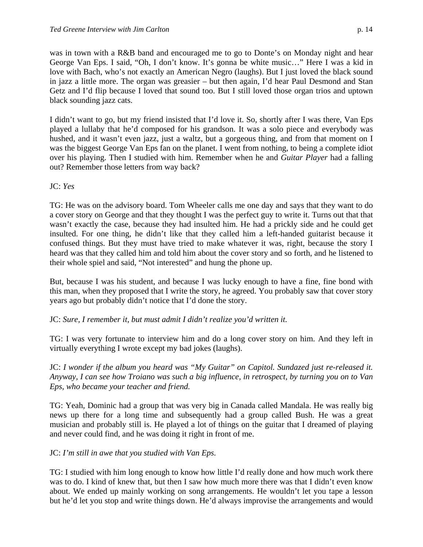was in town with a R&B band and encouraged me to go to Donte's on Monday night and hear George Van Eps. I said, "Oh, I don't know. It's gonna be white music…" Here I was a kid in love with Bach, who's not exactly an American Negro (laughs). But I just loved the black sound in jazz a little more. The organ was greasier – but then again, I'd hear Paul Desmond and Stan Getz and I'd flip because I loved that sound too. But I still loved those organ trios and uptown black sounding jazz cats.

I didn't want to go, but my friend insisted that I'd love it. So, shortly after I was there, Van Eps played a lullaby that he'd composed for his grandson. It was a solo piece and everybody was hushed, and it wasn't even jazz, just a waltz, but a gorgeous thing, and from that moment on I was the biggest George Van Eps fan on the planet. I went from nothing, to being a complete idiot over his playing. Then I studied with him. Remember when he and *Guitar Player* had a falling out? Remember those letters from way back?

JC: *Yes*

TG: He was on the advisory board. Tom Wheeler calls me one day and says that they want to do a cover story on George and that they thought I was the perfect guy to write it. Turns out that that wasn't exactly the case, because they had insulted him. He had a prickly side and he could get insulted. For one thing, he didn't like that they called him a left-handed guitarist because it confused things. But they must have tried to make whatever it was, right, because the story I heard was that they called him and told him about the cover story and so forth, and he listened to their whole spiel and said, "Not interested" and hung the phone up.

But, because I was his student, and because I was lucky enough to have a fine, fine bond with this man, when they proposed that I write the story, he agreed. You probably saw that cover story years ago but probably didn't notice that I'd done the story.

JC: *Sure, I remember it, but must admit I didn't realize you'd written it.*

TG: I was very fortunate to interview him and do a long cover story on him. And they left in virtually everything I wrote except my bad jokes (laughs).

JC: *I wonder if the album you heard was "My Guitar" on Capitol. Sundazed just re-released it. Anyway, I can see how Troiano was such a big influence, in retrospect, by turning you on to Van Eps, who became your teacher and friend.*

TG: Yeah, Dominic had a group that was very big in Canada called Mandala. He was really big news up there for a long time and subsequently had a group called Bush. He was a great musician and probably still is. He played a lot of things on the guitar that I dreamed of playing and never could find, and he was doing it right in front of me.

JC: *I'm still in awe that you studied with Van Eps.*

TG: I studied with him long enough to know how little I'd really done and how much work there was to do. I kind of knew that, but then I saw how much more there was that I didn't even know about. We ended up mainly working on song arrangements. He wouldn't let you tape a lesson but he'd let you stop and write things down. He'd always improvise the arrangements and would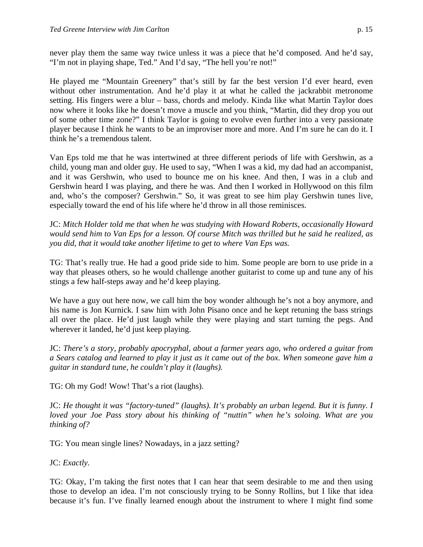never play them the same way twice unless it was a piece that he'd composed. And he'd say, "I'm not in playing shape, Ted." And I'd say, "The hell you're not!"

He played me "Mountain Greenery" that's still by far the best version I'd ever heard, even without other instrumentation. And he'd play it at what he called the jackrabbit metronome setting. His fingers were a blur – bass, chords and melody. Kinda like what Martin Taylor does now where it looks like he doesn't move a muscle and you think, "Martin, did they drop you out of some other time zone?" I think Taylor is going to evolve even further into a very passionate player because I think he wants to be an improviser more and more. And I'm sure he can do it. I think he's a tremendous talent.

Van Eps told me that he was intertwined at three different periods of life with Gershwin, as a child, young man and older guy. He used to say, "When I was a kid, my dad had an accompanist, and it was Gershwin, who used to bounce me on his knee. And then, I was in a club and Gershwin heard I was playing, and there he was. And then I worked in Hollywood on this film and, who's the composer? Gershwin." So, it was great to see him play Gershwin tunes live, especially toward the end of his life where he'd throw in all those reminisces.

JC: *Mitch Holder told me that when he was studying with Howard Roberts, occasionally Howard would send him to Van Eps for a lesson. Of course Mitch was thrilled but he said he realized, as you did, that it would take another lifetime to get to where Van Eps was.*

TG: That's really true. He had a good pride side to him. Some people are born to use pride in a way that pleases others, so he would challenge another guitarist to come up and tune any of his stings a few half-steps away and he'd keep playing.

We have a guy out here now, we call him the boy wonder although he's not a boy anymore, and his name is Jon Kurnick. I saw him with John Pisano once and he kept retuning the bass strings all over the place. He'd just laugh while they were playing and start turning the pegs. And wherever it landed, he'd just keep playing.

JC: *There's a story, probably apocryphal, about a farmer years ago, who ordered a guitar from a Sears catalog and learned to play it just as it came out of the box. When someone gave him a guitar in standard tune, he couldn't play it (laughs).*

TG: Oh my God! Wow! That's a riot (laughs).

JC: *He thought it was "factory-tuned" (laughs). It's probably an urban legend. But it is funny. I loved your Joe Pass story about his thinking of "nuttin" when he's soloing. What are you thinking of?*

TG: You mean single lines? Nowadays, in a jazz setting?

JC: *Exactly.*

TG: Okay, I'm taking the first notes that I can hear that seem desirable to me and then using those to develop an idea. I'm not consciously trying to be Sonny Rollins, but I like that idea because it's fun. I've finally learned enough about the instrument to where I might find some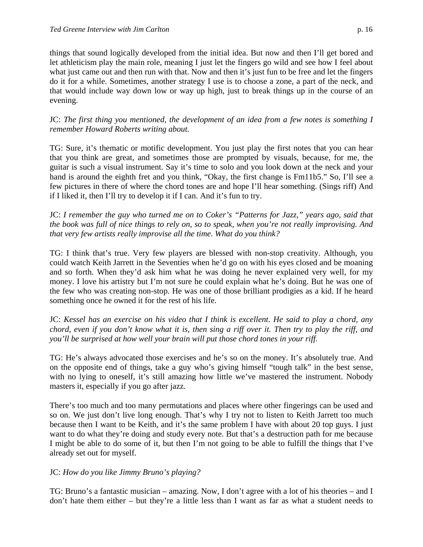things that sound logically developed from the initial idea. But now and then I'll get bored and let athleticism play the main role, meaning I just let the fingers go wild and see how I feel about what just came out and then run with that. Now and then it's just fun to be free and let the fingers do it for a while. Sometimes, another strategy I use is to choose a zone, a part of the neck, and that would include way down low or way up high, just to break things up in the course of an evening.

JC: *The first thing you mentioned, the development of an idea from a few notes is something I remember Howard Roberts writing about.*

TG: Sure, it's thematic or motific development. You just play the first notes that you can hear that you think are great, and sometimes those are prompted by visuals, because, for me, the guitar is such a visual instrument. Say it's time to solo and you look down at the neck and your hand is around the eighth fret and you think, "Okay, the first change is Fm11b5." So, I'll see a few pictures in there of where the chord tones are and hope I'll hear something. (Sings riff) And if I liked it, then I'll try to develop it if I can. And it's fun to try.

JC: *I remember the guy who turned me on to Coker's "Patterns for Jazz," years ago, said that the book was full of nice things to rely on, so to speak, when you're not really improvising. And that very few artists really improvise all the time. What do you think?*

TG: I think that's true. Very few players are blessed with non-stop creativity. Although, you could watch Keith Jarrett in the Seventies when he'd go on with his eyes closed and be moaning and so forth. When they'd ask him what he was doing he never explained very well, for my money. I love his artistry but I'm not sure he could explain what he's doing. But he was one of the few who was creating non-stop. He was one of those brilliant prodigies as a kid. If he heard something once he owned it for the rest of his life.

JC: *Kessel has an exercise on his video that I think is excellent. He said to play a chord, any chord, even if you don't know what it is, then sing a riff over it. Then try to play the riff, and you'll be surprised at how well your brain will put those chord tones in your riff.*

TG: He's always advocated those exercises and he's so on the money. It's absolutely true. And on the opposite end of things, take a guy who's giving himself "tough talk" in the best sense, with no lying to oneself, it's still amazing how little we've mastered the instrument. Nobody masters it, especially if you go after jazz.

There's too much and too many permutations and places where other fingerings can be used and so on. We just don't live long enough. That's why I try not to listen to Keith Jarrett too much because then I want to be Keith, and it's the same problem I have with about 20 top guys. I just want to do what they're doing and study every note. But that's a destruction path for me because I might be able to do some of it, but then I'm not going to be able to fulfill the things that I've already set out for myself.

# JC: *How do you like Jimmy Bruno's playing?*

TG: Bruno's a fantastic musician – amazing. Now, I don't agree with a lot of his theories – and I don't hate them either – but they're a little less than I want as far as what a student needs to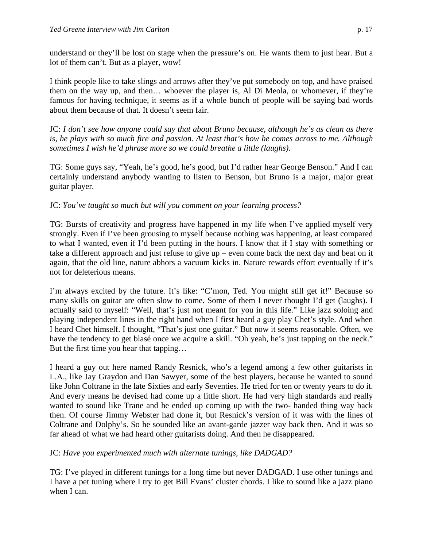understand or they'll be lost on stage when the pressure's on. He wants them to just hear. But a lot of them can't. But as a player, wow!

I think people like to take slings and arrows after they've put somebody on top, and have praised them on the way up, and then… whoever the player is, Al Di Meola, or whomever, if they're famous for having technique, it seems as if a whole bunch of people will be saying bad words about them because of that. It doesn't seem fair.

JC: *I don't see how anyone could say that about Bruno because, although he's as clean as there is, he plays with so much fire and passion. At least that's how he comes across to me. Although sometimes I wish he'd phrase more so we could breathe a little (laughs).*

TG: Some guys say, "Yeah, he's good, he's good, but I'd rather hear George Benson." And I can certainly understand anybody wanting to listen to Benson, but Bruno is a major, major great guitar player.

# JC: *You've taught so much but will you comment on your learning process?*

TG: Bursts of creativity and progress have happened in my life when I've applied myself very strongly. Even if I've been grousing to myself because nothing was happening, at least compared to what I wanted, even if I'd been putting in the hours. I know that if I stay with something or take a different approach and just refuse to give up – even come back the next day and beat on it again, that the old line, nature abhors a vacuum kicks in. Nature rewards effort eventually if it's not for deleterious means.

I'm always excited by the future. It's like: "C'mon, Ted. You might still get it!" Because so many skills on guitar are often slow to come. Some of them I never thought I'd get (laughs). I actually said to myself: "Well, that's just not meant for you in this life." Like jazz soloing and playing independent lines in the right hand when I first heard a guy play Chet's style. And when I heard Chet himself. I thought, "That's just one guitar." But now it seems reasonable. Often, we have the tendency to get blasé once we acquire a skill. "Oh yeah, he's just tapping on the neck." But the first time you hear that tapping…

I heard a guy out here named Randy Resnick, who's a legend among a few other guitarists in L.A., like Jay Graydon and Dan Sawyer, some of the best players, because he wanted to sound like John Coltrane in the late Sixties and early Seventies. He tried for ten or twenty years to do it. And every means he devised had come up a little short. He had very high standards and really wanted to sound like Trane and he ended up coming up with the two- handed thing way back then. Of course Jimmy Webster had done it, but Resnick's version of it was with the lines of Coltrane and Dolphy's. So he sounded like an avant-garde jazzer way back then. And it was so far ahead of what we had heard other guitarists doing. And then he disappeared.

# JC: *Have you experimented much with alternate tunings, like DADGAD?*

TG: I've played in different tunings for a long time but never DADGAD. I use other tunings and I have a pet tuning where I try to get Bill Evans' cluster chords. I like to sound like a jazz piano when I can.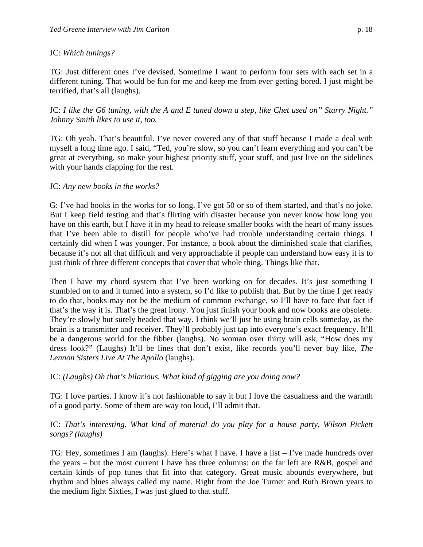## JC: *Which tunings?*

TG: Just different ones I've devised. Sometime I want to perform four sets with each set in a different tuning. That would be fun for me and keep me from ever getting bored. I just might be terrified, that's all (laughs).

JC: *I like the G6 tuning, with the A and E tuned down a step, like Chet used on" Starry Night." Johnny Smith likes to use it, too.*

TG: Oh yeah. That's beautiful. I've never covered any of that stuff because I made a deal with myself a long time ago. I said, "Ted, you're slow, so you can't learn everything and you can't be great at everything, so make your highest priority stuff, your stuff, and just live on the sidelines with your hands clapping for the rest.

## JC: *Any new books in the works?*

G: I've had books in the works for so long. I've got 50 or so of them started, and that's no joke. But I keep field testing and that's flirting with disaster because you never know how long you have on this earth, but I have it in my head to release smaller books with the heart of many issues that I've been able to distill for people who've had trouble understanding certain things. I certainly did when I was younger. For instance, a book about the diminished scale that clarifies, because it's not all that difficult and very approachable if people can understand how easy it is to just think of three different concepts that cover that whole thing. Things like that.

Then I have my chord system that I've been working on for decades. It's just something I stumbled on to and it turned into a system, so I'd like to publish that. But by the time I get ready to do that, books may not be the medium of common exchange, so I'll have to face that fact if that's the way it is. That's the great irony. You just finish your book and now books are obsolete. They're slowly but surely headed that way. I think we'll just be using brain cells someday, as the brain is a transmitter and receiver. They'll probably just tap into everyone's exact frequency. It'll be a dangerous world for the fibber (laughs). No woman over thirty will ask, "How does my dress look?" (Laughs) It'll be lines that don't exist, like records you'll never buy like, *The Lennon Sisters Live At The Apollo* (laughs).

# JC: *(Laughs) Oh that's hilarious. What kind of gigging are you doing now?*

TG: I love parties. I know it's not fashionable to say it but I love the casualness and the warmth of a good party. Some of them are way too loud, I'll admit that.

## JC: *That's interesting. What kind of material do you play for a house party, Wilson Pickett songs? (laughs)*

TG: Hey, sometimes I am (laughs). Here's what I have. I have a list – I've made hundreds over the years – but the most current I have has three columns: on the far left are R&B, gospel and certain kinds of pop tunes that fit into that category. Great music abounds everywhere, but rhythm and blues always called my name. Right from the Joe Turner and Ruth Brown years to the medium light Sixties, I was just glued to that stuff.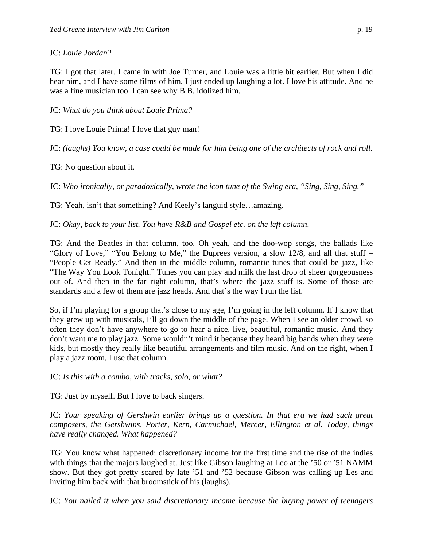# JC: *Louie Jordan?*

TG: I got that later. I came in with Joe Turner, and Louie was a little bit earlier. But when I did hear him, and I have some films of him, I just ended up laughing a lot. I love his attitude. And he was a fine musician too. I can see why B.B. idolized him.

JC: *What do you think about Louie Prima?*

TG: I love Louie Prima! I love that guy man!

JC: *(laughs) You know, a case could be made for him being one of the architects of rock and roll.*

TG: No question about it.

JC: *Who ironically, or paradoxically, wrote the icon tune of the Swing era, "Sing, Sing, Sing."*

TG: Yeah, isn't that something? And Keely's languid style…amazing.

JC: *Okay, back to your list. You have R&B and Gospel etc. on the left column*.

TG: And the Beatles in that column, too. Oh yeah, and the doo-wop songs, the ballads like "Glory of Love," "You Belong to Me," the Duprees version, a slow 12/8, and all that stuff – "People Get Ready." And then in the middle column, romantic tunes that could be jazz, like "The Way You Look Tonight." Tunes you can play and milk the last drop of sheer gorgeousness out of. And then in the far right column, that's where the jazz stuff is. Some of those are standards and a few of them are jazz heads. And that's the way I run the list.

So, if I'm playing for a group that's close to my age, I'm going in the left column. If I know that they grew up with musicals, I'll go down the middle of the page. When I see an older crowd, so often they don't have anywhere to go to hear a nice, live, beautiful, romantic music. And they don't want me to play jazz. Some wouldn't mind it because they heard big bands when they were kids, but mostly they really like beautiful arrangements and film music. And on the right, when I play a jazz room, I use that column.

JC: *Is this with a combo, with tracks, solo, or what?*

TG: Just by myself. But I love to back singers.

JC: *Your speaking of Gershwin earlier brings up a question. In that era we had such great composers, the Gershwins, Porter, Kern, Carmichael, Mercer, Ellington et al. Today, things have really changed. What happened?*

TG: You know what happened: discretionary income for the first time and the rise of the indies with things that the majors laughed at. Just like Gibson laughing at Leo at the '50 or '51 NAMM show. But they got pretty scared by late '51 and '52 because Gibson was calling up Les and inviting him back with that broomstick of his (laughs).

JC: *You nailed it when you said discretionary income because the buying power of teenagers*